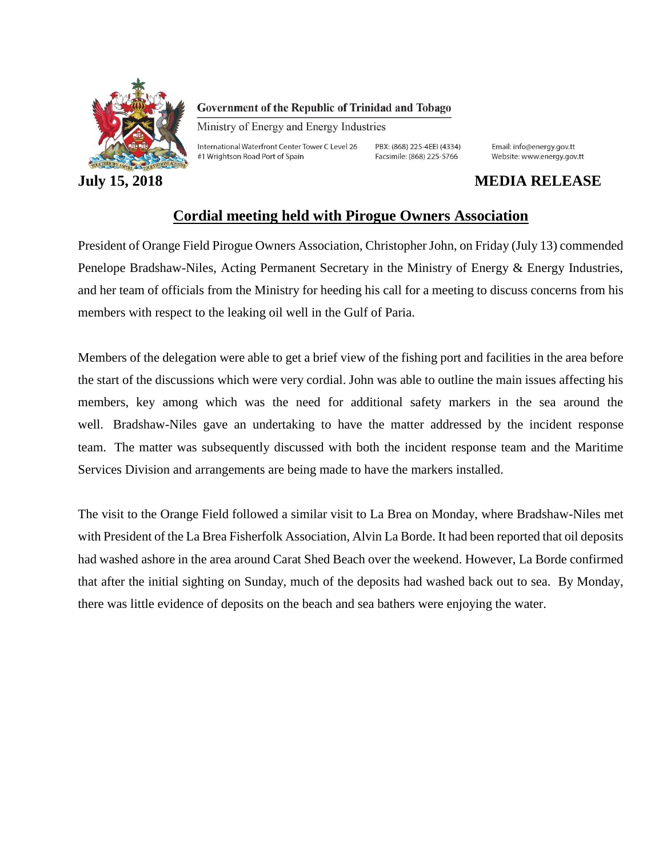

Government of the Republic of Trinidad and Tobago

Ministry of Energy and Energy Industries

International Waterfront Center Tower C Level 26 #1 Wrightson Road Port of Spain

PBX: (868) 225-4EEI (4334) Facsimile: (868) 225-5766

Email: info@energy.gov.tt Website: www.energy.gov.tt

## **July 15, 2018 MEDIA RELEASE**

## **Cordial meeting held with Pirogue Owners Association**

President of Orange Field Pirogue Owners Association, Christopher John, on Friday (July 13) commended Penelope Bradshaw-Niles, Acting Permanent Secretary in the Ministry of Energy & Energy Industries, and her team of officials from the Ministry for heeding his call for a meeting to discuss concerns from his members with respect to the leaking oil well in the Gulf of Paria.

Members of the delegation were able to get a brief view of the fishing port and facilities in the area before the start of the discussions which were very cordial. John was able to outline the main issues affecting his members, key among which was the need for additional safety markers in the sea around the well. Bradshaw-Niles gave an undertaking to have the matter addressed by the incident response team. The matter was subsequently discussed with both the incident response team and the Maritime Services Division and arrangements are being made to have the markers installed.

The visit to the Orange Field followed a similar visit to La Brea on Monday, where Bradshaw-Niles met with President of the La Brea Fisherfolk Association, Alvin La Borde. It had been reported that oil deposits had washed ashore in the area around Carat Shed Beach over the weekend. However, La Borde confirmed that after the initial sighting on Sunday, much of the deposits had washed back out to sea. By Monday, there was little evidence of deposits on the beach and sea bathers were enjoying the water.